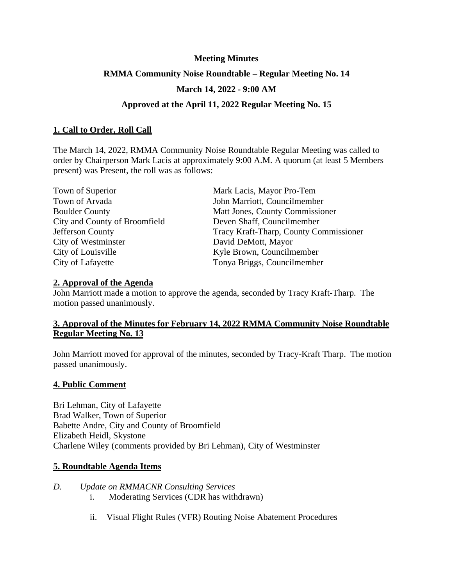## **Meeting Minutes**

## **RMMA Community Noise Roundtable – Regular Meeting No. 14**

# **March 14, 2022 - 9:00 AM**

## **Approved at the April 11, 2022 Regular Meeting No. 15**

## **1. Call to Order, Roll Call**

The March 14, 2022, RMMA Community Noise Roundtable Regular Meeting was called to order by Chairperson Mark Lacis at approximately 9:00 A.M. A quorum (at least 5 Members present) was Present, the roll was as follows:

| Town of Superior              | Mark Lacis, Mayor Pro-Tem              |
|-------------------------------|----------------------------------------|
| Town of Arvada                | John Marriott, Councilmember           |
| <b>Boulder County</b>         | Matt Jones, County Commissioner        |
| City and County of Broomfield | Deven Shaff, Councilmember             |
| Jefferson County              | Tracy Kraft-Tharp, County Commissioner |
| City of Westminster           | David DeMott, Mayor                    |
| City of Louisville            | Kyle Brown, Councilmember              |
| City of Lafayette             | Tonya Briggs, Councilmember            |

### **2. Approval of the Agenda**

John Marriott made a motion to approve the agenda, seconded by Tracy Kraft-Tharp. The motion passed unanimously.

# **3. Approval of the Minutes for February 14, 2022 RMMA Community Noise Roundtable Regular Meeting No. 13**

John Marriott moved for approval of the minutes, seconded by Tracy-Kraft Tharp. The motion passed unanimously.

### **4. Public Comment**

Bri Lehman, City of Lafayette Brad Walker, Town of Superior Babette Andre, City and County of Broomfield Elizabeth Heidl, Skystone Charlene Wiley (comments provided by Bri Lehman), City of Westminster

### **5. Roundtable Agenda Items**

- *D. Update on RMMACNR Consulting Services* i. Moderating Services (CDR has withdrawn)
	- ii. Visual Flight Rules (VFR) Routing Noise Abatement Procedures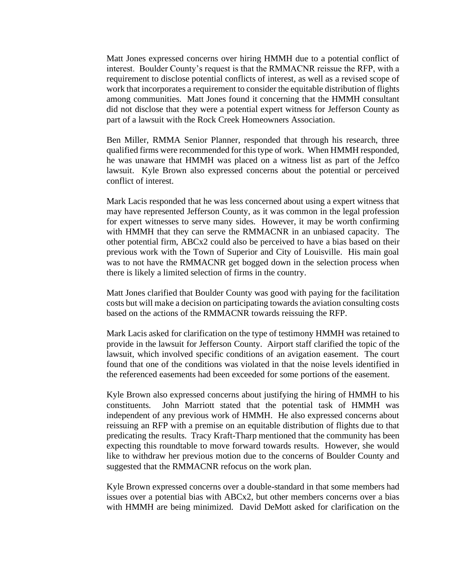Matt Jones expressed concerns over hiring HMMH due to a potential conflict of interest. Boulder County's request is that the RMMACNR reissue the RFP, with a requirement to disclose potential conflicts of interest, as well as a revised scope of work that incorporates a requirement to consider the equitable distribution of flights among communities. Matt Jones found it concerning that the HMMH consultant did not disclose that they were a potential expert witness for Jefferson County as part of a lawsuit with the Rock Creek Homeowners Association.

Ben Miller, RMMA Senior Planner, responded that through his research, three qualified firms were recommended for this type of work. When HMMH responded, he was unaware that HMMH was placed on a witness list as part of the Jeffco lawsuit. Kyle Brown also expressed concerns about the potential or perceived conflict of interest.

Mark Lacis responded that he was less concerned about using a expert witness that may have represented Jefferson County, as it was common in the legal profession for expert witnesses to serve many sides. However, it may be worth confirming with HMMH that they can serve the RMMACNR in an unbiased capacity. The other potential firm, ABCx2 could also be perceived to have a bias based on their previous work with the Town of Superior and City of Louisville. His main goal was to not have the RMMACNR get bogged down in the selection process when there is likely a limited selection of firms in the country.

Matt Jones clarified that Boulder County was good with paying for the facilitation costs but will make a decision on participating towards the aviation consulting costs based on the actions of the RMMACNR towards reissuing the RFP.

Mark Lacis asked for clarification on the type of testimony HMMH was retained to provide in the lawsuit for Jefferson County. Airport staff clarified the topic of the lawsuit, which involved specific conditions of an avigation easement. The court found that one of the conditions was violated in that the noise levels identified in the referenced easements had been exceeded for some portions of the easement.

Kyle Brown also expressed concerns about justifying the hiring of HMMH to his constituents. John Marriott stated that the potential task of HMMH was independent of any previous work of HMMH. He also expressed concerns about reissuing an RFP with a premise on an equitable distribution of flights due to that predicating the results. Tracy Kraft-Tharp mentioned that the community has been expecting this roundtable to move forward towards results. However, she would like to withdraw her previous motion due to the concerns of Boulder County and suggested that the RMMACNR refocus on the work plan.

Kyle Brown expressed concerns over a double-standard in that some members had issues over a potential bias with ABCx2, but other members concerns over a bias with HMMH are being minimized. David DeMott asked for clarification on the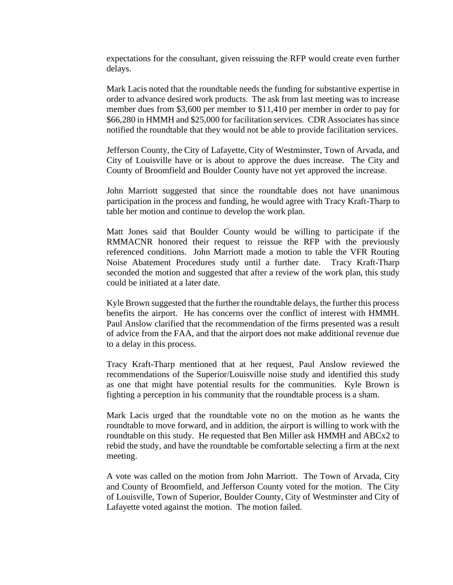expectations for the consultant, given reissuing the RFP would create even further delays.

Mark Lacis noted that the roundtable needs the funding for substantive expertise in order to advance desired work products. The ask from last meeting was to increase member dues from \$3,600 per member to \$11,410 per member in order to pay for \$66,280 in HMMH and \$25,000 for facilitation services. CDR Associates has since notified the roundtable that they would not be able to provide facilitation services.

Jefferson County, the City of Lafayette, City of Westminster, Town of Arvada, and City of Louisville have or is about to approve the dues increase. The City and County of Broomfield and Boulder County have not yet approved the increase.

John Marriott suggested that since the roundtable does not have unanimous participation in the process and funding, he would agree with Tracy Kraft-Tharp to table her motion and continue to develop the work plan.

Matt Jones said that Boulder County would be willing to participate if the RMMACNR honored their request to reissue the RFP with the previously referenced conditions. John Marriott made a motion to table the VFR Routing Noise Abatement Procedures study until a further date. Tracy Kraft-Tharp seconded the motion and suggested that after a review of the work plan, this study could be initiated at a later date.

Kyle Brown suggested that the further the roundtable delays, the further this process benefits the airport. He has concerns over the conflict of interest with HMMH. Paul Anslow clarified that the recommendation of the firms presented was a result of advice from the FAA, and that the airport does not make additional revenue due to a delay in this process.

Tracy Kraft-Tharp mentioned that at her request, Paul Anslow reviewed the recommendations of the Superior/Louisville noise study and identified this study as one that might have potential results for the communities. Kyle Brown is fighting a perception in his community that the roundtable process is a sham.

Mark Lacis urged that the roundtable vote no on the motion as he wants the roundtable to move forward, and in addition, the airport is willing to work with the roundtable on this study. He requested that Ben Miller ask HMMH and ABCx2 to rebid the study, and have the roundtable be comfortable selecting a firm at the next meeting.

A vote was called on the motion from John Marriott. The Town of Arvada, City and County of Broomfield, and Jefferson County voted for the motion. The City of Louisville, Town of Superior, Boulder County, City of Westminster and City of Lafayette voted against the motion. The motion failed.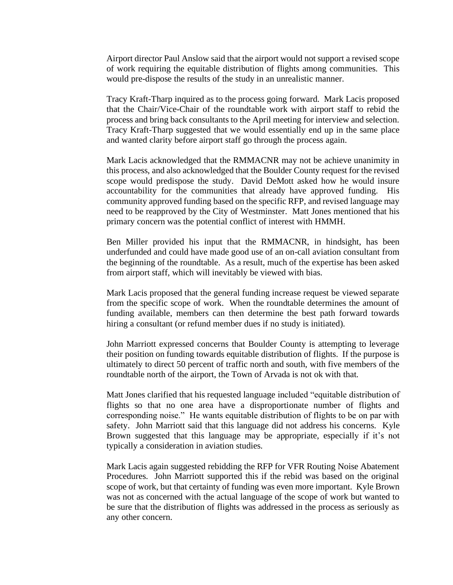Airport director Paul Anslow said that the airport would not support a revised scope of work requiring the equitable distribution of flights among communities. This would pre-dispose the results of the study in an unrealistic manner.

Tracy Kraft-Tharp inquired as to the process going forward. Mark Lacis proposed that the Chair/Vice-Chair of the roundtable work with airport staff to rebid the process and bring back consultants to the April meeting for interview and selection. Tracy Kraft-Tharp suggested that we would essentially end up in the same place and wanted clarity before airport staff go through the process again.

Mark Lacis acknowledged that the RMMACNR may not be achieve unanimity in this process, and also acknowledged that the Boulder County request for the revised scope would predispose the study. David DeMott asked how he would insure accountability for the communities that already have approved funding. His community approved funding based on the specific RFP, and revised language may need to be reapproved by the City of Westminster. Matt Jones mentioned that his primary concern was the potential conflict of interest with HMMH.

Ben Miller provided his input that the RMMACNR, in hindsight, has been underfunded and could have made good use of an on-call aviation consultant from the beginning of the roundtable. As a result, much of the expertise has been asked from airport staff, which will inevitably be viewed with bias.

Mark Lacis proposed that the general funding increase request be viewed separate from the specific scope of work. When the roundtable determines the amount of funding available, members can then determine the best path forward towards hiring a consultant (or refund member dues if no study is initiated).

John Marriott expressed concerns that Boulder County is attempting to leverage their position on funding towards equitable distribution of flights. If the purpose is ultimately to direct 50 percent of traffic north and south, with five members of the roundtable north of the airport, the Town of Arvada is not ok with that.

Matt Jones clarified that his requested language included "equitable distribution of flights so that no one area have a disproportionate number of flights and corresponding noise." He wants equitable distribution of flights to be on par with safety. John Marriott said that this language did not address his concerns. Kyle Brown suggested that this language may be appropriate, especially if it's not typically a consideration in aviation studies.

Mark Lacis again suggested rebidding the RFP for VFR Routing Noise Abatement Procedures. John Marriott supported this if the rebid was based on the original scope of work, but that certainty of funding was even more important. Kyle Brown was not as concerned with the actual language of the scope of work but wanted to be sure that the distribution of flights was addressed in the process as seriously as any other concern.